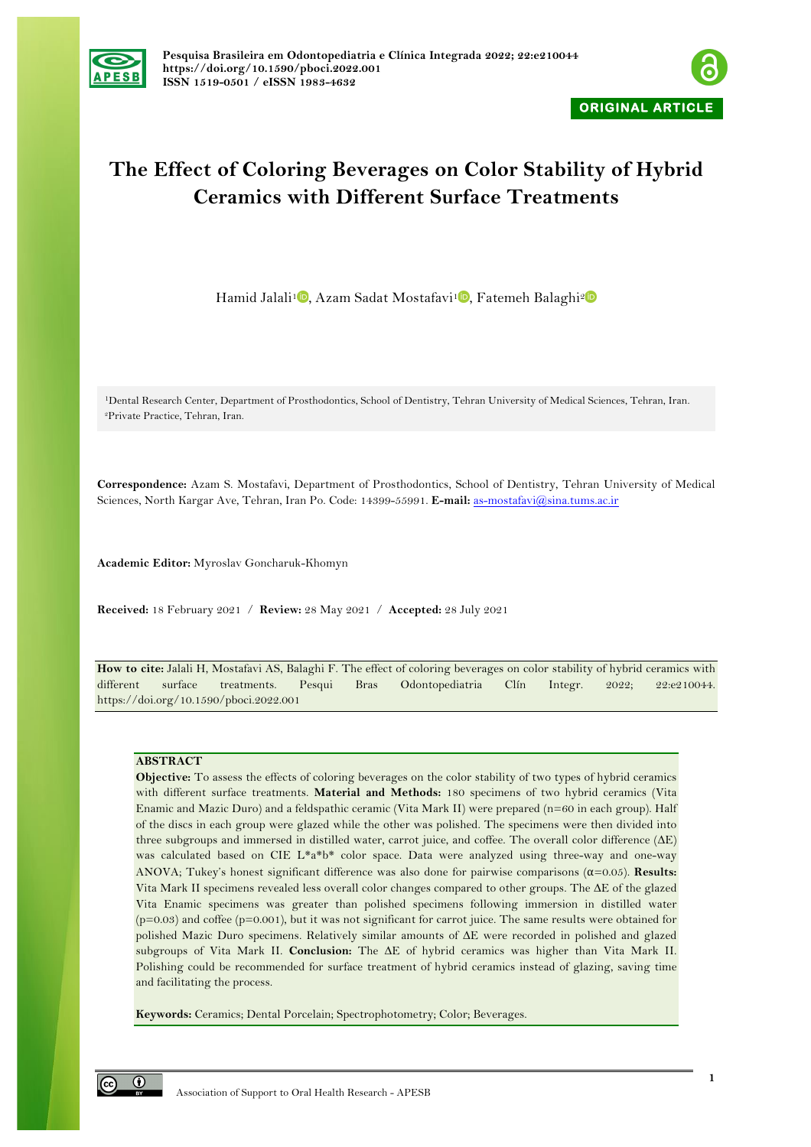



# **The Effect of Coloring Beverages on Color Stability of Hybrid Ceramics with Different Surface Treatments**

Hamid Jalali<sup>1</sup><sup>D</sup>[,](https://orcid.org/0000-0002-6297-4797) Azam Sadat Mostafavi<sup>1</sup>D, Fatemeh Balaghi<sup>[2](https://orcid.org/0000-0003-1159-1021)</sup>D

1Dental Research Center, Department of Prosthodontics, School of Dentistry, Tehran University of Medical Sciences, Tehran, Iran. 2Private Practice, Tehran, Iran.

**Correspondence:** Azam S. Mostafavi, Department of Prosthodontics, School of Dentistry, Tehran University of Medical Sciences, North Kargar Ave, Tehran, Iran Po. Code: 14399-55991. **E-mail:** as-mostafavi@sina.tums.ac.ir

**Academic Editor:** Myroslav Goncharuk-Khomyn

**Received:** 18 February 2021 / **Review:** 28 May 2021 / **Accepted:** 28 July 2021

**How to cite:** Jalali H, Mostafavi AS, Balaghi F. The effect of coloring beverages on color stability of hybrid ceramics with different surface treatments. Pesqui Bras Odontopediatria Clín Integr. 2022; 22:e210044. https://doi.org/10.1590/pboci.2022.001

## **ABSTRACT**

**Objective:** To assess the effects of coloring beverages on the color stability of two types of hybrid ceramics with different surface treatments. **Material and Methods:** 180 specimens of two hybrid ceramics (Vita Enamic and Mazic Duro) and a feldspathic ceramic (Vita Mark II) were prepared (n=60 in each group). Half of the discs in each group were glazed while the other was polished. The specimens were then divided into three subgroups and immersed in distilled water, carrot juice, and coffee. The overall color difference (∆E) was calculated based on CIE L\*a\*b\* color space. Data were analyzed using three-way and one-way ANOVA; Tukey's honest significant difference was also done for pairwise comparisons  $(\alpha=0.05)$ . **Results:** Vita Mark II specimens revealed less overall color changes compared to other groups. The ∆E of the glazed Vita Enamic specimens was greater than polished specimens following immersion in distilled water  $(p=0.03)$  and coffee  $(p=0.001)$ , but it was not significant for carrot juice. The same results were obtained for polished Mazic Duro specimens. Relatively similar amounts of ∆E were recorded in polished and glazed subgroups of Vita Mark II. **Conclusion:** The ∆E of hybrid ceramics was higher than Vita Mark II. Polishing could be recommended for surface treatment of hybrid ceramics instead of glazing, saving time and facilitating the process.

**Keywords:** Ceramics; Dental Porcelain; Spectrophotometry; Color; Beverages.

 $\odot$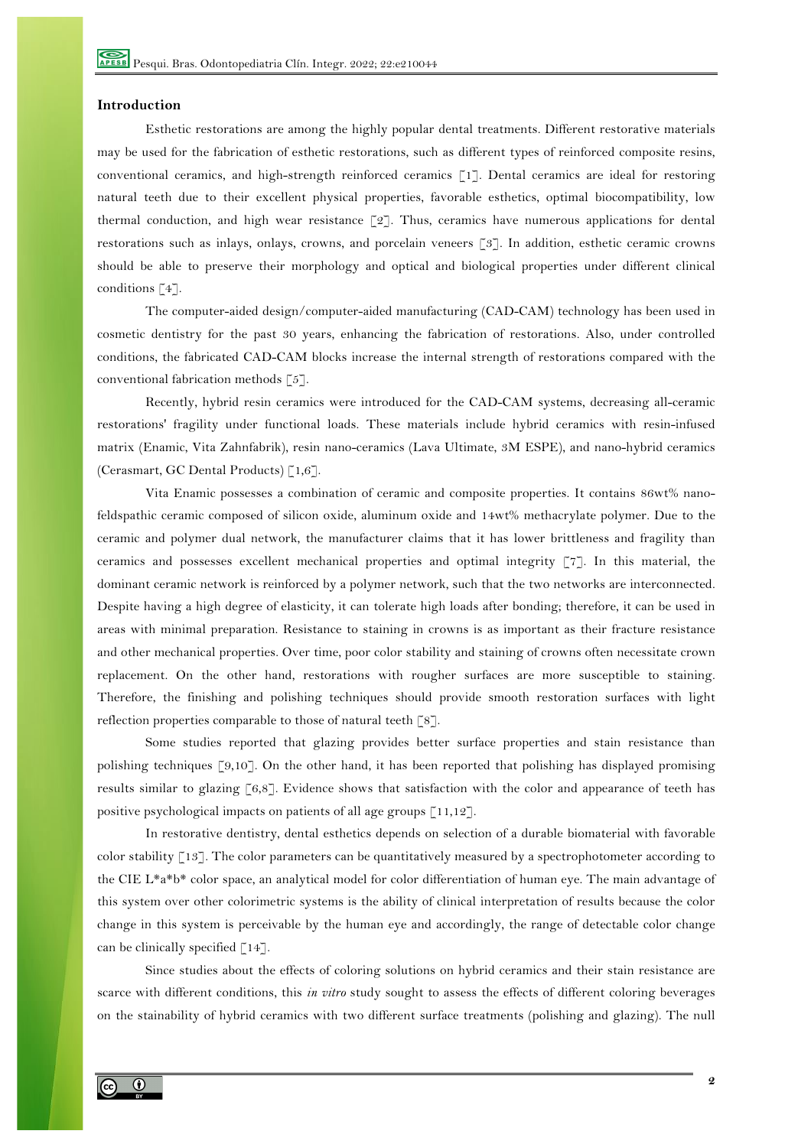# **Introduction**

Esthetic restorations are among the highly popular dental treatments. Different restorative materials may be used for the fabrication of esthetic restorations, such as different types of reinforced composite resins, conventional ceramics, and high-strength reinforced ceramics [1]. Dental ceramics are ideal for restoring natural teeth due to their excellent physical properties, favorable esthetics, optimal biocompatibility, low thermal conduction, and high wear resistance  $\lceil 2 \rceil$ . Thus, ceramics have numerous applications for dental restorations such as inlays, onlays, crowns, and porcelain veneers [3]. In addition, esthetic ceramic crowns should be able to preserve their morphology and optical and biological properties under different clinical conditions [4].

The computer-aided design/computer-aided manufacturing (CAD-CAM) technology has been used in cosmetic dentistry for the past 30 years, enhancing the fabrication of restorations. Also, under controlled conditions, the fabricated CAD-CAM blocks increase the internal strength of restorations compared with the conventional fabrication methods [5].

Recently, hybrid resin ceramics were introduced for the CAD-CAM systems, decreasing all-ceramic restorations' fragility under functional loads. These materials include hybrid ceramics with resin-infused matrix (Enamic, Vita Zahnfabrik), resin nano-ceramics (Lava Ultimate, 3M ESPE), and nano-hybrid ceramics (Cerasmart, GC Dental Products)  $\lceil 1, 6 \rceil$ .

Vita Enamic possesses a combination of ceramic and composite properties. It contains 86wt% nanofeldspathic ceramic composed of silicon oxide, aluminum oxide and 14wt% methacrylate polymer. Due to the ceramic and polymer dual network, the manufacturer claims that it has lower brittleness and fragility than ceramics and possesses excellent mechanical properties and optimal integrity [7]. In this material, the dominant ceramic network is reinforced by a polymer network, such that the two networks are interconnected. Despite having a high degree of elasticity, it can tolerate high loads after bonding; therefore, it can be used in areas with minimal preparation. Resistance to staining in crowns is as important as their fracture resistance and other mechanical properties. Over time, poor color stability and staining of crowns often necessitate crown replacement. On the other hand, restorations with rougher surfaces are more susceptible to staining. Therefore, the finishing and polishing techniques should provide smooth restoration surfaces with light reflection properties comparable to those of natural teeth [8].

Some studies reported that glazing provides better surface properties and stain resistance than polishing techniques [9,10]. On the other hand, it has been reported that polishing has displayed promising results similar to glazing [6,8]. Evidence shows that satisfaction with the color and appearance of teeth has positive psychological impacts on patients of all age groups [11,12].

In restorative dentistry, dental esthetics depends on selection of a durable biomaterial with favorable color stability [13]. The color parameters can be quantitatively measured by a spectrophotometer according to the CIE L\*a\*b\* color space, an analytical model for color differentiation of human eye. The main advantage of this system over other colorimetric systems is the ability of clinical interpretation of results because the color change in this system is perceivable by the human eye and accordingly, the range of detectable color change can be clinically specified [14].

Since studies about the effects of coloring solutions on hybrid ceramics and their stain resistance are scarce with different conditions, this *in vitro* study sought to assess the effects of different coloring beverages on the stainability of hybrid ceramics with two different surface treatments (polishing and glazing). The null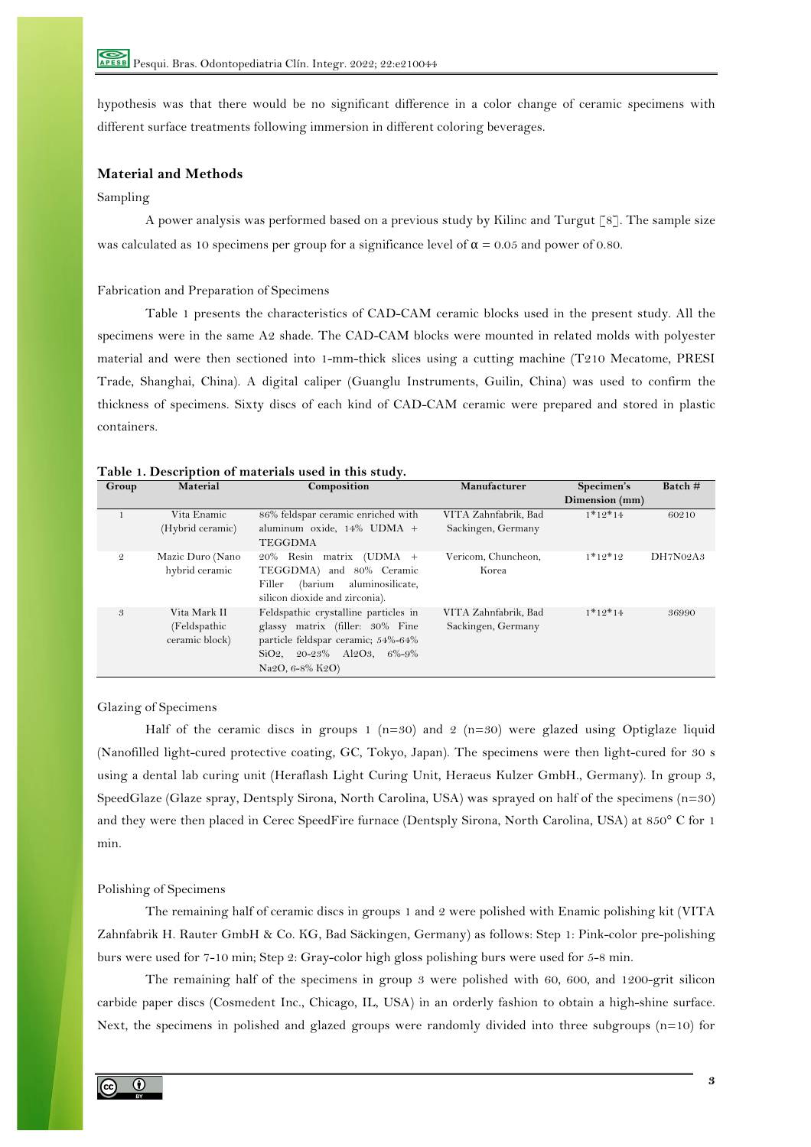hypothesis was that there would be no significant difference in a color change of ceramic specimens with different surface treatments following immersion in different coloring beverages.

# **Material and Methods**

## Sampling

A power analysis was performed based on a previous study by Kilinc and Turgut [8]. The sample size was calculated as 10 specimens per group for a significance level of  $\alpha = 0.05$  and power of 0.80.

Fabrication and Preparation of Specimens

Table 1 presents the characteristics of CAD-CAM ceramic blocks used in the present study. All the specimens were in the same A2 shade. The CAD-CAM blocks were mounted in related molds with polyester material and were then sectioned into 1-mm-thick slices using a cutting machine (T210 Mecatome, PRESI Trade, Shanghai, China). A digital caliper (Guanglu Instruments, Guilin, China) was used to confirm the thickness of specimens. Sixty discs of each kind of CAD-CAM ceramic were prepared and stored in plastic containers.

| Group          | Material                                        | Composition<br>Manufacturer                                                                                                                                                                             |                                            | Specimen's     | Batch#   |
|----------------|-------------------------------------------------|---------------------------------------------------------------------------------------------------------------------------------------------------------------------------------------------------------|--------------------------------------------|----------------|----------|
|                |                                                 |                                                                                                                                                                                                         |                                            | Dimension (mm) |          |
|                | Vita Enamic<br>(Hybrid ceramic)                 | 86% feldspar ceramic enriched with<br>aluminum oxide, 14% UDMA +<br><b>TEGGDMA</b>                                                                                                                      | VITA Zahnfabrik, Bad<br>Sackingen, Germany | $1*12*14$      | 60210    |
| $\mathfrak{D}$ | Mazic Duro (Nano<br>hybrid ceramic              | 20% Resin matrix (UDMA +<br>TEGGDMA) and 80% Ceramic<br>aluminosilicate,<br>Filler<br>(barium<br>silicon dioxide and zirconia).                                                                         | Vericom, Chuncheon,<br>Korea               | $1*12*12$      | DH7N02A3 |
| 3              | Vita Mark II<br>(Feldspathic)<br>ceramic block) | Feldspathic crystalline particles in<br>glassy matrix (filler: 30% Fine<br>particle feldspar ceramic; 54%-64%<br>$SiO2$ , 20-23% Al2O3, 6%-9%<br>Na <sub>2</sub> O <sub>, 6</sub> -8% K <sub>2</sub> O) | VITA Zahnfabrik, Bad<br>Sackingen, Germany | $1*12*14$      | 36990    |

# **Table 1. Description of materials used in this study.**

### Glazing of Specimens

Half of the ceramic discs in groups  $1$  (n=30) and  $2$  (n=30) were glazed using Optiglaze liquid (Nanofilled light-cured protective coating, GC, Tokyo, Japan). The specimens were then light-cured for 30 s using a dental lab curing unit (Heraflash Light Curing Unit, Heraeus Kulzer GmbH., Germany). In group 3, SpeedGlaze (Glaze spray, Dentsply Sirona, North Carolina, USA) was sprayed on half of the specimens (n=30) and they were then placed in Cerec SpeedFire furnace (Dentsply Sirona, North Carolina, USA) at 850° C for 1 min.

# Polishing of Specimens

The remaining half of ceramic discs in groups 1 and 2 were polished with Enamic polishing kit (VITA Zahnfabrik H. Rauter GmbH & Co. KG, Bad Säckingen, Germany) as follows: Step 1: Pink-color pre-polishing burs were used for 7-10 min; Step 2: Gray-color high gloss polishing burs were used for 5-8 min.

The remaining half of the specimens in group 3 were polished with 60, 600, and 1200-grit silicon carbide paper discs (Cosmedent Inc., Chicago, IL, USA) in an orderly fashion to obtain a high-shine surface. Next, the specimens in polished and glazed groups were randomly divided into three subgroups (n=10) for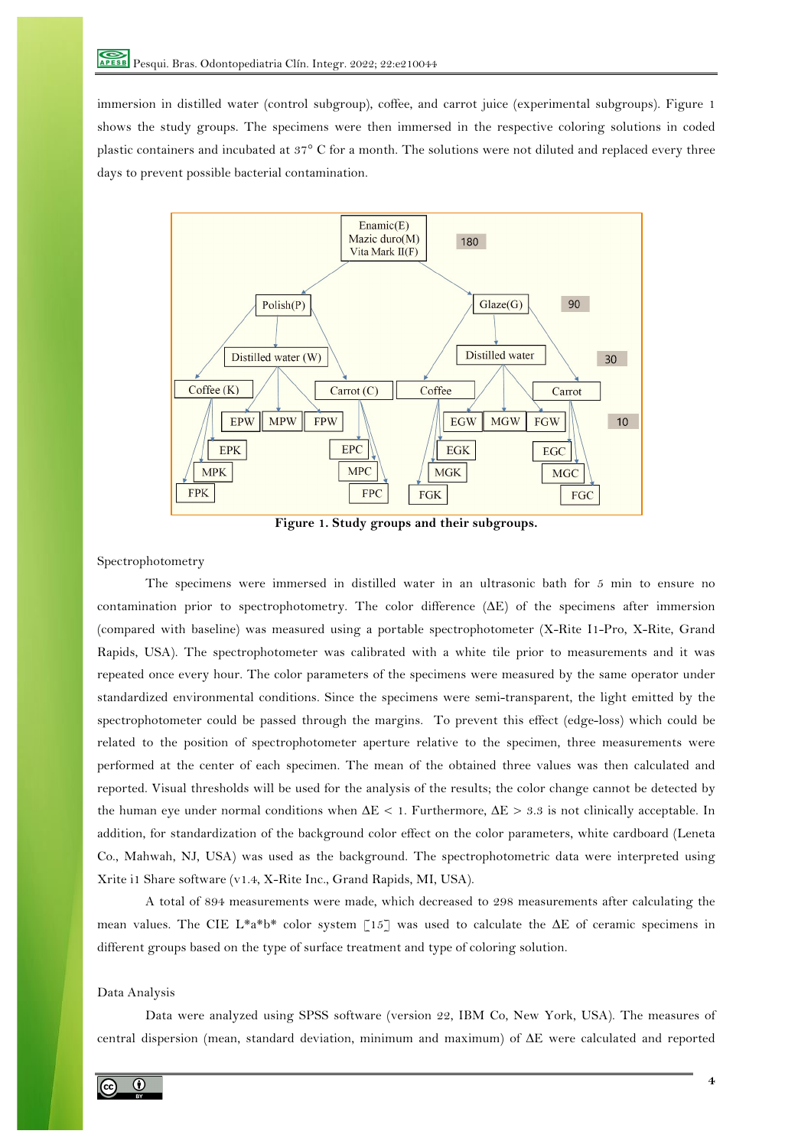immersion in distilled water (control subgroup), coffee, and carrot juice (experimental subgroups). Figure 1 shows the study groups. The specimens were then immersed in the respective coloring solutions in coded plastic containers and incubated at 37° C for a month. The solutions were not diluted and replaced every three days to prevent possible bacterial contamination.



**Figure 1. Study groups and their subgroups.**

Spectrophotometry

The specimens were immersed in distilled water in an ultrasonic bath for 5 min to ensure no contamination prior to spectrophotometry. The color difference (∆E) of the specimens after immersion (compared with baseline) was measured using a portable spectrophotometer (X-Rite I1-Pro, X-Rite, Grand Rapids, USA). The spectrophotometer was calibrated with a white tile prior to measurements and it was repeated once every hour. The color parameters of the specimens were measured by the same operator under standardized environmental conditions. Since the specimens were semi-transparent, the light emitted by the spectrophotometer could be passed through the margins. To prevent this effect (edge-loss) which could be related to the position of spectrophotometer aperture relative to the specimen, three measurements were performed at the center of each specimen. The mean of the obtained three values was then calculated and reported. Visual thresholds will be used for the analysis of the results; the color change cannot be detected by the human eye under normal conditions when ∆E < 1. Furthermore, ∆E > 3.3 is not clinically acceptable. In addition, for standardization of the background color effect on the color parameters, white cardboard (Leneta Co., Mahwah, NJ, USA) was used as the background. The spectrophotometric data were interpreted using Xrite i1 Share software (v1.4, X-Rite Inc., Grand Rapids, MI, USA).

A total of 894 measurements were made, which decreased to 298 measurements after calculating the mean values. The CIE L\*a\*b\* color system [15] was used to calculate the  $\Delta E$  of ceramic specimens in different groups based on the type of surface treatment and type of coloring solution.

## Data Analysis

Data were analyzed using SPSS software (version 22, IBM Co, New York, USA). The measures of central dispersion (mean, standard deviation, minimum and maximum) of ∆E were calculated and reported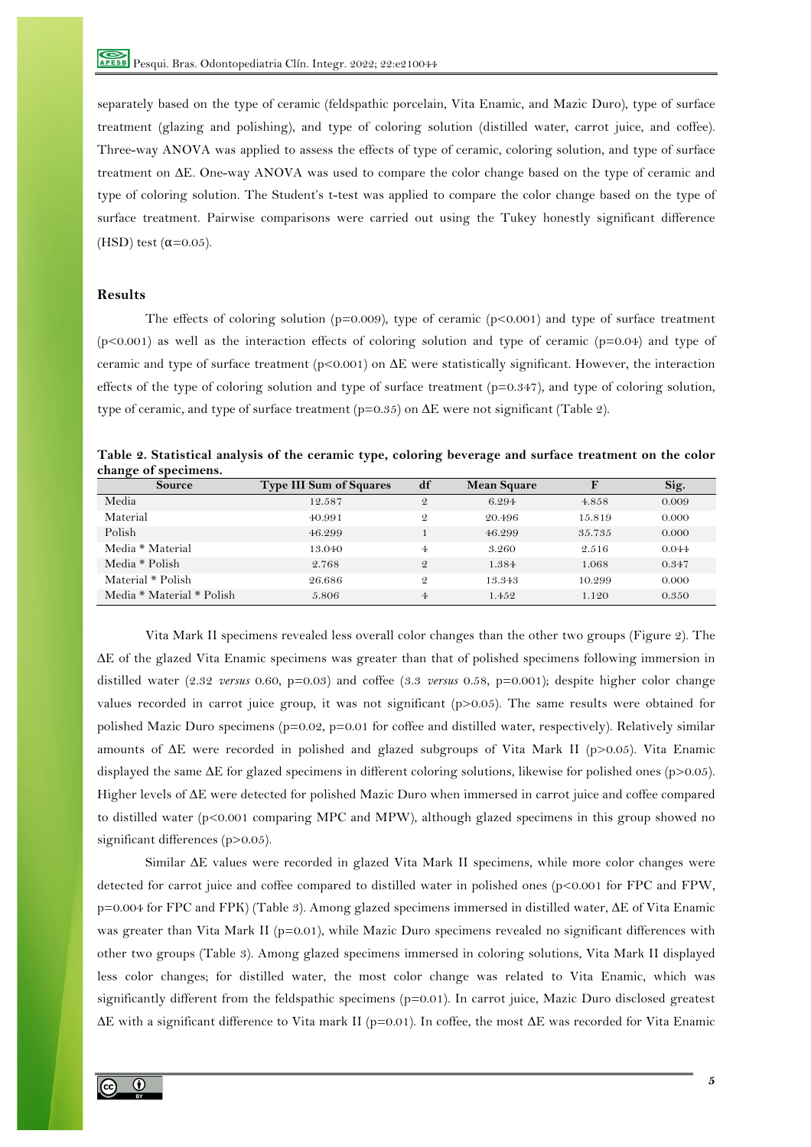separately based on the type of ceramic (feldspathic porcelain, Vita Enamic, and Mazic Duro), type of surface treatment (glazing and polishing), and type of coloring solution (distilled water, carrot juice, and coffee). Three-way ANOVA was applied to assess the effects of type of ceramic, coloring solution, and type of surface treatment on ∆E. One-way ANOVA was used to compare the color change based on the type of ceramic and type of coloring solution. The Student's t-test was applied to compare the color change based on the type of surface treatment. Pairwise comparisons were carried out using the Tukey honestly significant difference (HSD) test  $(\alpha=0.05)$ .

# **Results**

The effects of coloring solution ( $p=0.009$ ), type of ceramic ( $p<0.001$ ) and type of surface treatment  $(p<0.001)$  as well as the interaction effects of coloring solution and type of ceramic  $(p=0.04)$  and type of ceramic and type of surface treatment (p<0.001) on ∆E were statistically significant. However, the interaction effects of the type of coloring solution and type of surface treatment  $(p=0.347)$ , and type of coloring solution, type of ceramic, and type of surface treatment ( $p=0.35$ ) on  $\Delta E$  were not significant (Table 2).

| Table 2. Statistical analysis of the ceramic type, coloring beverage and surface treatment on the color |  |  |  |  |  |  |
|---------------------------------------------------------------------------------------------------------|--|--|--|--|--|--|
| change of specimens.                                                                                    |  |  |  |  |  |  |

| <b>Source</b>             | <b>Type III Sum of Squares</b> | df             | <b>Mean Square</b> |        | Sig.  |
|---------------------------|--------------------------------|----------------|--------------------|--------|-------|
| Media                     | 12.587                         | $\mathcal{Q}$  | 6.294              | 4.858  | 0.009 |
| Material                  | 40.991                         | $\mathcal{Q}$  | 20.496             | 15.819 | 0.000 |
| Polish                    | 46.299                         |                | 46.299             | 35.735 | 0.000 |
| Media * Material          | 13.040                         | 4              | 3.260              | 2.516  | 0.044 |
| Media * Polish            | 2.768                          | $\mathcal{Q}$  | 1.384              | 1.068  | 0.347 |
| Material * Polish         | 26.686                         | $\mathcal{Q}$  | 13.343             | 10.299 | 0.000 |
| Media * Material * Polish | 5.806                          | $\overline{4}$ | 1.452              | 1.120  | 0.350 |

Vita Mark II specimens revealed less overall color changes than the other two groups (Figure 2). The ∆E of the glazed Vita Enamic specimens was greater than that of polished specimens following immersion in distilled water (2.32 *versus* 0.60, p=0.03) and coffee (3.3 *versus* 0.58, p=0.001); despite higher color change values recorded in carrot juice group, it was not significant (p>0.05). The same results were obtained for polished Mazic Duro specimens (p=0.02, p=0.01 for coffee and distilled water, respectively). Relatively similar amounts of ∆E were recorded in polished and glazed subgroups of Vita Mark II (p>0.05). Vita Enamic displayed the same ∆E for glazed specimens in different coloring solutions, likewise for polished ones (p>0.05). Higher levels of ∆E were detected for polished Mazic Duro when immersed in carrot juice and coffee compared to distilled water (p<0.001 comparing MPC and MPW), although glazed specimens in this group showed no significant differences (p>0.05).

Similar ∆E values were recorded in glazed Vita Mark II specimens, while more color changes were detected for carrot juice and coffee compared to distilled water in polished ones (p<0.001 for FPC and FPW, p=0.004 for FPC and FPK) (Table 3). Among glazed specimens immersed in distilled water, ∆E of Vita Enamic was greater than Vita Mark II (p=0.01), while Mazic Duro specimens revealed no significant differences with other two groups (Table 3). Among glazed specimens immersed in coloring solutions, Vita Mark II displayed less color changes; for distilled water, the most color change was related to Vita Enamic, which was significantly different from the feldspathic specimens (p=0.01). In carrot juice, Mazic Duro disclosed greatest ∆E with a significant difference to Vita mark II (p=0.01). In coffee, the most ∆E was recorded for Vita Enamic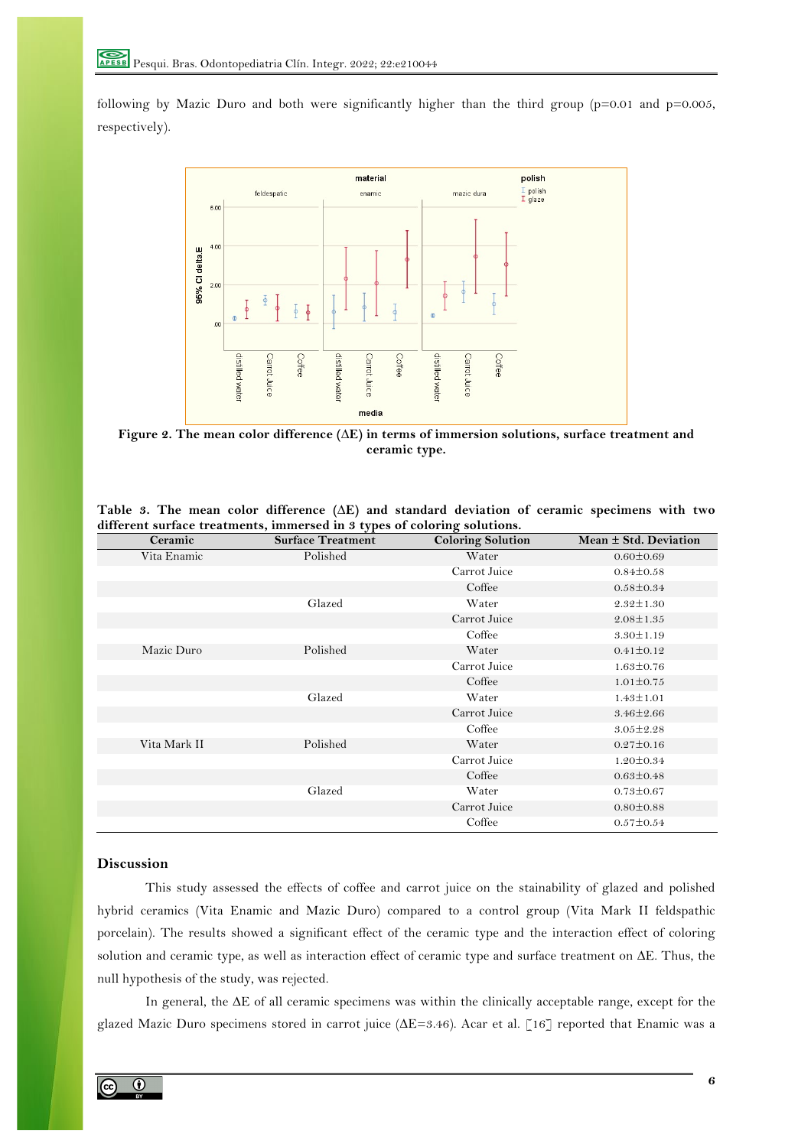following by Mazic Duro and both were significantly higher than the third group (p=0.01 and p=0.005, respectively).



**Figure 2. The mean color difference (∆E) in terms of immersion solutions, surface treatment and ceramic type.**

| Ceramic      | <b>Surface Treatment</b> | <b>Coloring Solution</b> | Mean $\pm$ Std. Deviation |
|--------------|--------------------------|--------------------------|---------------------------|
| Vita Enamic  | Polished                 | Water                    | $0.60 \pm 0.69$           |
|              |                          | Carrot Juice             | $0.84 \pm 0.58$           |
|              |                          | Coffee                   | $0.58 \pm 0.34$           |
|              | Glazed                   | Water                    | $2.32 \pm 1.30$           |
|              |                          | Carrot Juice             | $2.08 \pm 1.35$           |
|              |                          | Coffee                   | $3.30 \pm 1.19$           |
| Mazic Duro   | Polished                 | Water                    | $0.41 \pm 0.12$           |
|              |                          | Carrot Juice             | $1.63 \pm 0.76$           |
|              |                          | Coffee                   | $1.01 \pm 0.75$           |
|              | Glazed                   | Water                    | $1.43 \pm 1.01$           |
|              |                          | Carrot Juice             | $3.46 \pm 2.66$           |
|              |                          | Coffee                   | $3.05 \pm 2.28$           |
| Vita Mark II | Polished                 | Water                    | $0.27 \pm 0.16$           |
|              |                          | Carrot Juice             | $1.20 \pm 0.34$           |
|              |                          | Coffee                   | $0.63 \pm 0.48$           |
|              | Glazed                   | Water                    | $0.73 \pm 0.67$           |
|              |                          | Carrot Juice             | $0.80 \pm 0.88$           |
|              |                          | Coffee                   | $0.57 \pm 0.54$           |

**Table 3. The mean color difference (∆E) and standard deviation of ceramic specimens with two different surface treatments, immersed in 3 types of coloring solutions.**

# **Discussion**

This study assessed the effects of coffee and carrot juice on the stainability of glazed and polished hybrid ceramics (Vita Enamic and Mazic Duro) compared to a control group (Vita Mark II feldspathic porcelain). The results showed a significant effect of the ceramic type and the interaction effect of coloring solution and ceramic type, as well as interaction effect of ceramic type and surface treatment on ∆E. Thus, the null hypothesis of the study, was rejected.

In general, the ∆E of all ceramic specimens was within the clinically acceptable range, except for the glazed Mazic Duro specimens stored in carrot juice (∆E=3.46). Acar et al. [16] reported that Enamic was a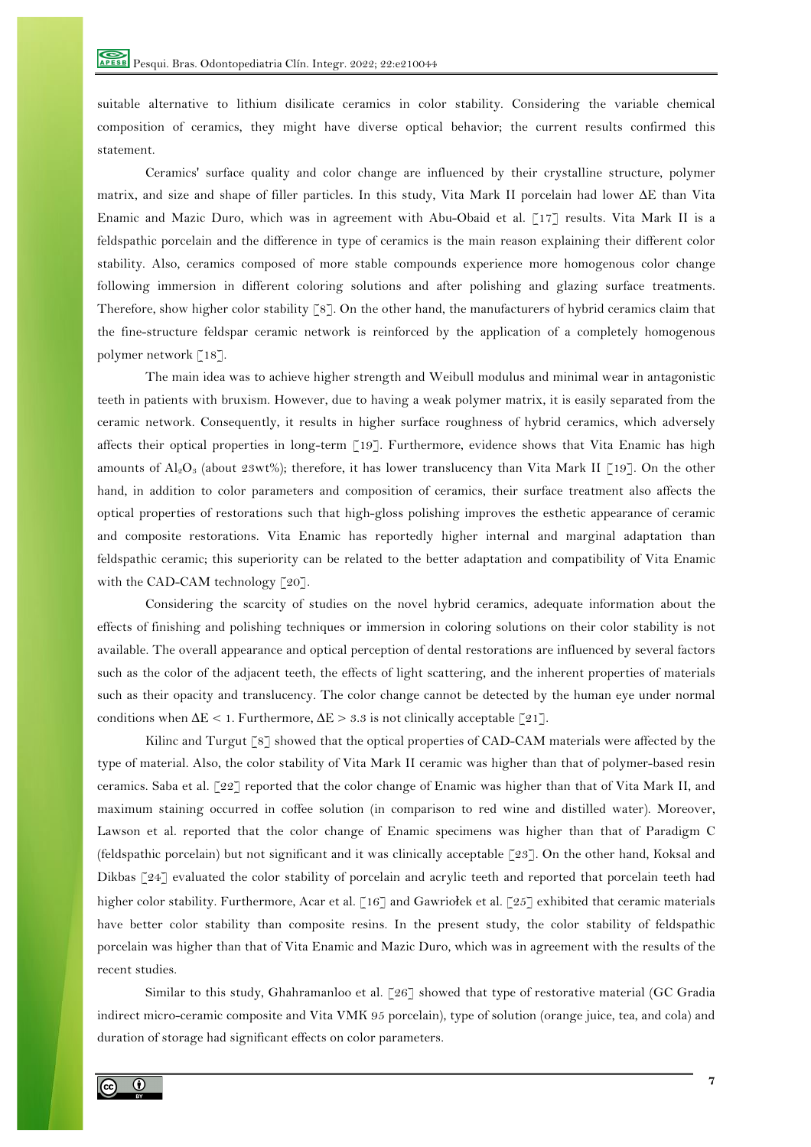suitable alternative to lithium disilicate ceramics in color stability. Considering the variable chemical composition of ceramics, they might have diverse optical behavior; the current results confirmed this statement.

Ceramics' surface quality and color change are influenced by their crystalline structure, polymer matrix, and size and shape of filler particles. In this study, Vita Mark II porcelain had lower ∆E than Vita Enamic and Mazic Duro, which was in agreement with Abu-Obaid et al. [17] results. Vita Mark II is a feldspathic porcelain and the difference in type of ceramics is the main reason explaining their different color stability. Also, ceramics composed of more stable compounds experience more homogenous color change following immersion in different coloring solutions and after polishing and glazing surface treatments. Therefore, show higher color stability [8]. On the other hand, the manufacturers of hybrid ceramics claim that the fine-structure feldspar ceramic network is reinforced by the application of a completely homogenous polymer network [18].

The main idea was to achieve higher strength and Weibull modulus and minimal wear in antagonistic teeth in patients with bruxism. However, due to having a weak polymer matrix, it is easily separated from the ceramic network. Consequently, it results in higher surface roughness of hybrid ceramics, which adversely affects their optical properties in long-term [19]. Furthermore, evidence shows that Vita Enamic has high amounts of  $\text{Al}_2\text{O}_3$  (about 23wt%); therefore, it has lower translucency than Vita Mark II [19]. On the other hand, in addition to color parameters and composition of ceramics, their surface treatment also affects the optical properties of restorations such that high-gloss polishing improves the esthetic appearance of ceramic and composite restorations. Vita Enamic has reportedly higher internal and marginal adaptation than feldspathic ceramic; this superiority can be related to the better adaptation and compatibility of Vita Enamic with the CAD-CAM technology [20].

Considering the scarcity of studies on the novel hybrid ceramics, adequate information about the effects of finishing and polishing techniques or immersion in coloring solutions on their color stability is not available. The overall appearance and optical perception of dental restorations are influenced by several factors such as the color of the adjacent teeth, the effects of light scattering, and the inherent properties of materials such as their opacity and translucency. The color change cannot be detected by the human eye under normal conditions when  $\Delta E < 1$ . Furthermore,  $\Delta E > 3.3$  is not clinically acceptable [21].

Kilinc and Turgut [8] showed that the optical properties of CAD-CAM materials were affected by the type of material. Also, the color stability of Vita Mark II ceramic was higher than that of polymer-based resin ceramics. Saba et al. [22] reported that the color change of Enamic was higher than that of Vita Mark II, and maximum staining occurred in coffee solution (in comparison to red wine and distilled water). Moreover, Lawson et al. reported that the color change of Enamic specimens was higher than that of Paradigm C (feldspathic porcelain) but not significant and it was clinically acceptable [23]. On the other hand, Koksal and Dikbas [24] evaluated the color stability of porcelain and acrylic teeth and reported that porcelain teeth had higher color stability. Furthermore, Acar et al. [16] and Gawriołek et al. [25] exhibited that ceramic materials have better color stability than composite resins. In the present study, the color stability of feldspathic porcelain was higher than that of Vita Enamic and Mazic Duro, which was in agreement with the results of the recent studies.

Similar to this study, Ghahramanloo et al. [26] showed that type of restorative material (GC Gradia indirect micro-ceramic composite and Vita VMK 95 porcelain), type of solution (orange juice, tea, and cola) and duration of storage had significant effects on color parameters.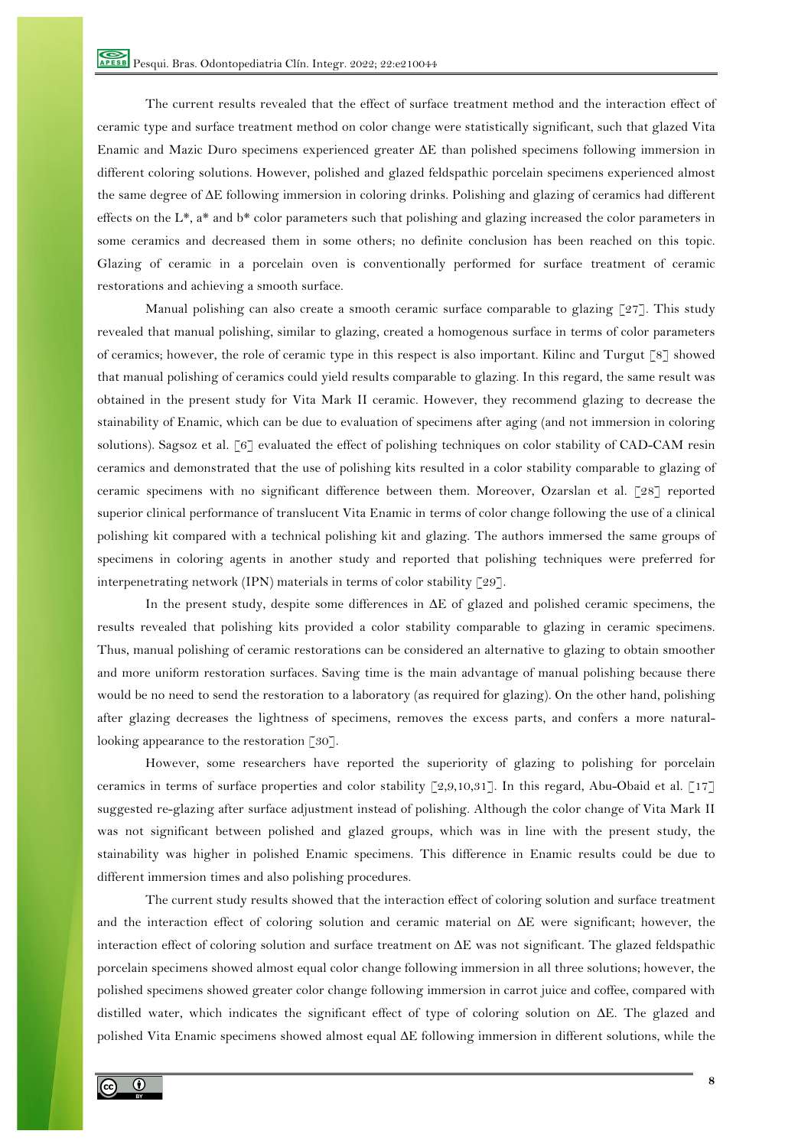The current results revealed that the effect of surface treatment method and the interaction effect of ceramic type and surface treatment method on color change were statistically significant, such that glazed Vita Enamic and Mazic Duro specimens experienced greater ∆E than polished specimens following immersion in different coloring solutions. However, polished and glazed feldspathic porcelain specimens experienced almost the same degree of ∆E following immersion in coloring drinks. Polishing and glazing of ceramics had different effects on the L\*, a\* and b\* color parameters such that polishing and glazing increased the color parameters in some ceramics and decreased them in some others; no definite conclusion has been reached on this topic. Glazing of ceramic in a porcelain oven is conventionally performed for surface treatment of ceramic restorations and achieving a smooth surface.

Manual polishing can also create a smooth ceramic surface comparable to glazing [27]. This study revealed that manual polishing, similar to glazing, created a homogenous surface in terms of color parameters of ceramics; however, the role of ceramic type in this respect is also important. Kilinc and Turgut [8] showed that manual polishing of ceramics could yield results comparable to glazing. In this regard, the same result was obtained in the present study for Vita Mark II ceramic. However, they recommend glazing to decrease the stainability of Enamic, which can be due to evaluation of specimens after aging (and not immersion in coloring solutions). Sagsoz et al. [6] evaluated the effect of polishing techniques on color stability of CAD-CAM resin ceramics and demonstrated that the use of polishing kits resulted in a color stability comparable to glazing of ceramic specimens with no significant difference between them. Moreover, Ozarslan et al. [28] reported superior clinical performance of translucent Vita Enamic in terms of color change following the use of a clinical polishing kit compared with a technical polishing kit and glazing. The authors immersed the same groups of specimens in coloring agents in another study and reported that polishing techniques were preferred for interpenetrating network (IPN) materials in terms of color stability [29].

In the present study, despite some differences in ∆E of glazed and polished ceramic specimens, the results revealed that polishing kits provided a color stability comparable to glazing in ceramic specimens. Thus, manual polishing of ceramic restorations can be considered an alternative to glazing to obtain smoother and more uniform restoration surfaces. Saving time is the main advantage of manual polishing because there would be no need to send the restoration to a laboratory (as required for glazing). On the other hand, polishing after glazing decreases the lightness of specimens, removes the excess parts, and confers a more naturallooking appearance to the restoration [30].

However, some researchers have reported the superiority of glazing to polishing for porcelain ceramics in terms of surface properties and color stability [2,9,10,31]. In this regard, Abu-Obaid et al. [17] suggested re-glazing after surface adjustment instead of polishing. Although the color change of Vita Mark II was not significant between polished and glazed groups, which was in line with the present study, the stainability was higher in polished Enamic specimens. This difference in Enamic results could be due to different immersion times and also polishing procedures.

The current study results showed that the interaction effect of coloring solution and surface treatment and the interaction effect of coloring solution and ceramic material on ∆E were significant; however, the interaction effect of coloring solution and surface treatment on ∆E was not significant. The glazed feldspathic porcelain specimens showed almost equal color change following immersion in all three solutions; however, the polished specimens showed greater color change following immersion in carrot juice and coffee, compared with distilled water, which indicates the significant effect of type of coloring solution on ∆E. The glazed and polished Vita Enamic specimens showed almost equal ∆E following immersion in different solutions, while the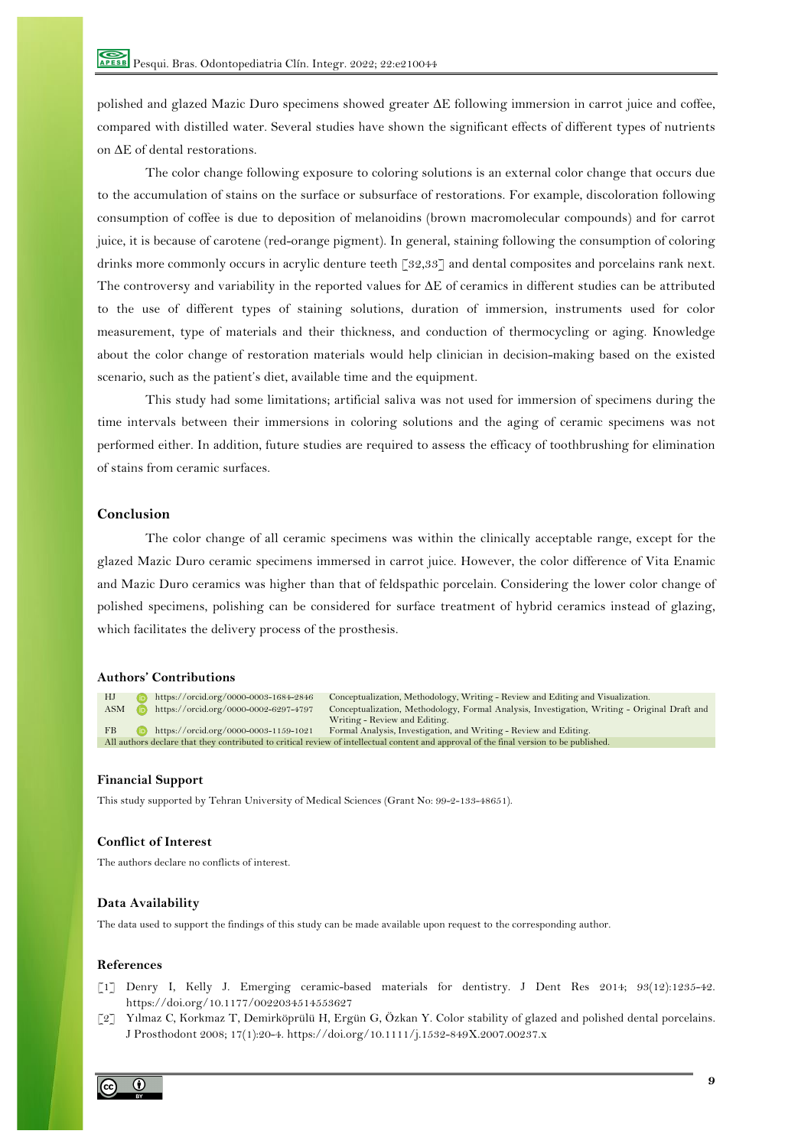polished and glazed Mazic Duro specimens showed greater ∆E following immersion in carrot juice and coffee, compared with distilled water. Several studies have shown the significant effects of different types of nutrients on ∆E of dental restorations.

The color change following exposure to coloring solutions is an external color change that occurs due to the accumulation of stains on the surface or subsurface of restorations. For example, discoloration following consumption of coffee is due to deposition of melanoidins (brown macromolecular compounds) and for carrot juice, it is because of carotene (red-orange pigment). In general, staining following the consumption of coloring drinks more commonly occurs in acrylic denture teeth [32,33] and dental composites and porcelains rank next. The controversy and variability in the reported values for ∆E of ceramics in different studies can be attributed to the use of different types of staining solutions, duration of immersion, instruments used for color measurement, type of materials and their thickness, and conduction of thermocycling or aging. Knowledge about the color change of restoration materials would help clinician in decision-making based on the existed scenario, such as the patient's diet, available time and the equipment.

This study had some limitations; artificial saliva was not used for immersion of specimens during the time intervals between their immersions in coloring solutions and the aging of ceramic specimens was not performed either. In addition, future studies are required to assess the efficacy of toothbrushing for elimination of stains from ceramic surfaces.

# **Conclusion**

The color change of all ceramic specimens was within the clinically acceptable range, except for the glazed Mazic Duro ceramic specimens immersed in carrot juice. However, the color difference of Vita Enamic and Mazic Duro ceramics was higher than that of feldspathic porcelain. Considering the lower color change of polished specimens, polishing can be considered for surface treatment of hybrid ceramics instead of glazing, which facilitates the delivery process of the prosthesis.

## **Authors' Contributions**

HJ https://orcid.org/0000-0003-1684-2846 Conceptualization, Methodology, Writing - Review and Editing and Visualization. ASM https://orcid.org/0000-0002-6297-4797 Conceptualization, Methodology, Formal Analysis, Investigation, Writing - Original Draft and Writing - Review and Editing. FB https://orcid.org/0000-0003-1159-1021 Formal Analysis, Investigation, and Writing - Review and Editing. All authors declare that they contributed to critical review of intellectual content and approval of the final version to be published.

# **Financial Support**

This study supported by Tehran University of Medical Sciences (Grant No: 99-2-133-48651).

### **Conflict of Interest**

The authors declare no conflicts of interest.

### **Data Availability**

The data used to support the findings of this study can be made available upon request to the corresponding author.

#### **References**

- [1] Denry I, Kelly J. Emerging ceramic-based materials for dentistry. J Dent Res 2014; 93(12):1235-42. https://doi.org/10.1177/0022034514553627
- [2] Yılmaz C, Korkmaz T, Demirköprülü H, Ergün G, Özkan Y. Color stability of glazed and polished dental porcelains. J Prosthodont 2008; 17(1):20-4. https://doi.org/10.1111/j.1532-849X.2007.00237.x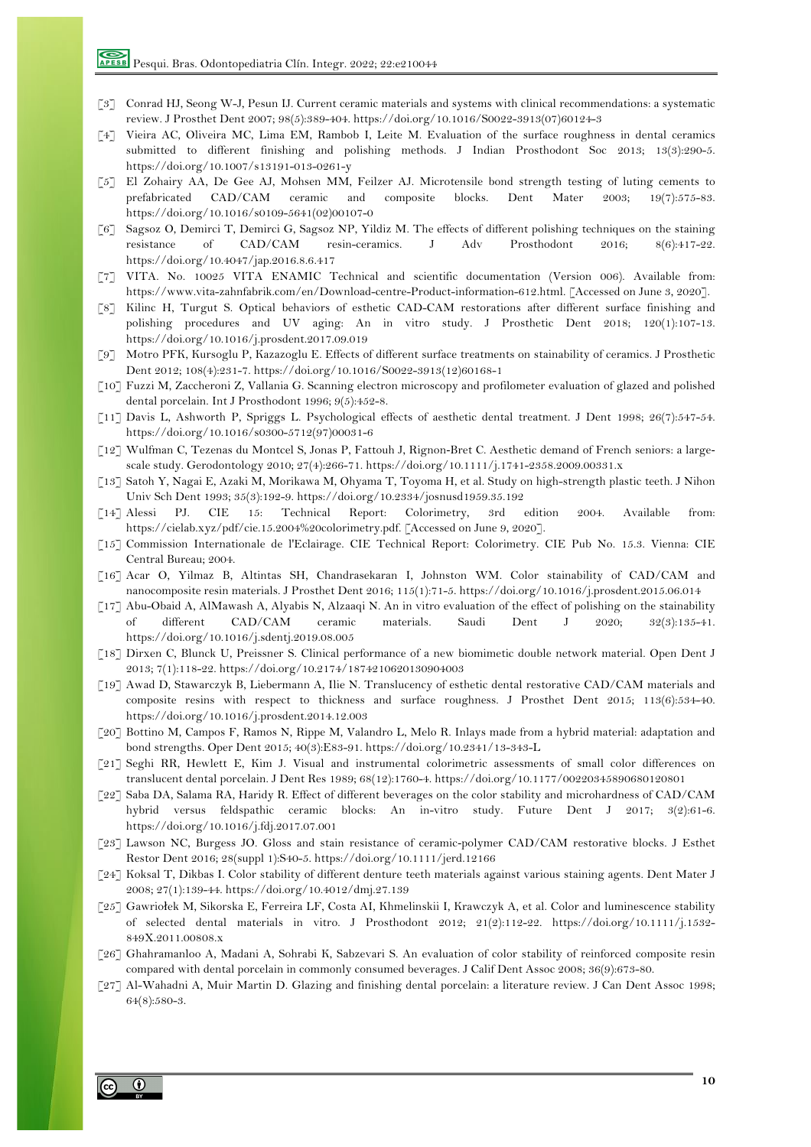- [3] Conrad HJ, Seong W-J, Pesun IJ. Current ceramic materials and systems with clinical recommendations: a systematic review. J Prosthet Dent 2007; 98(5):389-404. https://doi.org/10.1016/S0022-3913(07)60124-3
- [4] Vieira AC, Oliveira MC, Lima EM, Rambob I, Leite M. Evaluation of the surface roughness in dental ceramics submitted to different finishing and polishing methods. J Indian Prosthodont Soc 2013; 13(3):290-5. https://doi.org/10.1007/s13191-013-0261-y
- [5] El Zohairy AA, De Gee AJ, Mohsen MM, Feilzer AJ. Microtensile bond strength testing of luting cements to prefabricated CAD/CAM ceramic and composite blocks. Dent Mater 2003; 19(7):575-83. https://doi.org/10.1016/s0109-5641(02)00107-0
- [6] Sagsoz O, Demirci T, Demirci G, Sagsoz NP, Yildiz M. The effects of different polishing techniques on the staining resistance of CAD/CAM resin-ceramics. J Adv Prosthodont 2016; 8(6):417-22. https://doi.org/10.4047/jap.2016.8.6.417
- [7] VITA. No. 10025 VITA ENAMIC Technical and scientific documentation (Version 006). Available from: https://www.vita-zahnfabrik.com/en/Download-centre-Product-information-612.html. [Accessed on June 3, 2020].
- [8] Kilinc H, Turgut S. Optical behaviors of esthetic CAD-CAM restorations after different surface finishing and polishing procedures and UV aging: An in vitro study. J Prosthetic Dent 2018; 120(1):107-13. https://doi.org/10.1016/j.prosdent.2017.09.019
- [9] Motro PFK, Kursoglu P, Kazazoglu E. Effects of different surface treatments on stainability of ceramics. J Prosthetic Dent 2012; 108(4):231-7. https://doi.org/10.1016/S0022-3913(12)60168-1
- [10] Fuzzi M, Zaccheroni Z, Vallania G. Scanning electron microscopy and profilometer evaluation of glazed and polished dental porcelain. Int J Prosthodont 1996; 9(5):452-8.
- [11] Davis L, Ashworth P, Spriggs L. Psychological effects of aesthetic dental treatment. J Dent 1998; 26(7):547-54. https://doi.org/10.1016/s0300-5712(97)00031-6
- [12] Wulfman C, Tezenas du Montcel S, Jonas P, Fattouh J, Rignon-Bret C. Aesthetic demand of French seniors: a largescale study. Gerodontology 2010; 27(4):266-71. https://doi.org/10.1111/j.1741-2358.2009.00331.x
- [13] Satoh Y, Nagai E, Azaki M, Morikawa M, Ohyama T, Toyoma H, et al. Study on high-strength plastic teeth. J Nihon Univ Sch Dent 1993; 35(3):192-9. https://doi.org/10.2334/josnusd1959.35.192
- [14] Alessi PJ. CIE 15: Technical Report: Colorimetry, 3rd edition 2004. Available from: https://cielab.xyz/pdf/cie.15.2004%20colorimetry.pdf. [Accessed on June 9, 2020].
- [15] Commission Internationale de l'Eclairage. CIE Technical Report: Colorimetry. CIE Pub No. 15.3. Vienna: CIE Central Bureau; 2004.
- [16] Acar O, Yilmaz B, Altintas SH, Chandrasekaran I, Johnston WM. Color stainability of CAD/CAM and nanocomposite resin materials. J Prosthet Dent 2016; 115(1):71-5. https://doi.org/10.1016/j.prosdent.2015.06.014
- [17] Abu-Obaid A, AlMawash A, Alyabis N, Alzaaqi N. An in vitro evaluation of the effect of polishing on the stainability of different CAD/CAM ceramic materials. Saudi Dent J 2020; 32(3):135-41. https://doi.org/10.1016/j.sdentj.2019.08.005
- [18] Dirxen C, Blunck U, Preissner S. Clinical performance of a new biomimetic double network material. Open Dent J 2013; 7(1):118-22. https://doi.org/10.2174/1874210620130904003
- [19] Awad D, Stawarczyk B, Liebermann A, Ilie N. Translucency of esthetic dental restorative CAD/CAM materials and composite resins with respect to thickness and surface roughness. J Prosthet Dent 2015; 113(6):534-40. https://doi.org/10.1016/j.prosdent.2014.12.003
- [20] Bottino M, Campos F, Ramos N, Rippe M, Valandro L, Melo R. Inlays made from a hybrid material: adaptation and bond strengths. Oper Dent 2015; 40(3):E83-91. https://doi.org/10.2341/13-343-L
- [21] Seghi RR, Hewlett E, Kim J. Visual and instrumental colorimetric assessments of small color differences on translucent dental porcelain. J Dent Res 1989; 68(12):1760-4. https://doi.org/10.1177/00220345890680120801
- [22] Saba DA, Salama RA, Haridy R. Effect of different beverages on the color stability and microhardness of CAD/CAM hybrid versus feldspathic ceramic blocks: An in-vitro study. Future Dent J 2017; 3(2):61-6. https://doi.org/10.1016/j.fdj.2017.07.001
- [23] Lawson NC, Burgess JO. Gloss and stain resistance of ceramic-polymer CAD/CAM restorative blocks. J Esthet Restor Dent 2016; 28(suppl 1):S40-5. https://doi.org/10.1111/jerd.12166
- [24] Koksal T, Dikbas I. Color stability of different denture teeth materials against various staining agents. Dent Mater J 2008; 27(1):139-44. https://doi.org/10.4012/dmj.27.139
- [25] Gawriołek M, Sikorska E, Ferreira LF, Costa AI, Khmelinskii I, Krawczyk A, et al. Color and luminescence stability of selected dental materials in vitro. J Prosthodont 2012; 21(2):112-22. https://doi.org/10.1111/j.1532- 849X.2011.00808.x
- [26] Ghahramanloo A, Madani A, Sohrabi K, Sabzevari S. An evaluation of color stability of reinforced composite resin compared with dental porcelain in commonly consumed beverages. J Calif Dent Assoc 2008; 36(9):673-80.
- [27] Al-Wahadni A, Muir Martin D. Glazing and finishing dental porcelain: a literature review. J Can Dent Assoc 1998; 64(8):580-3.